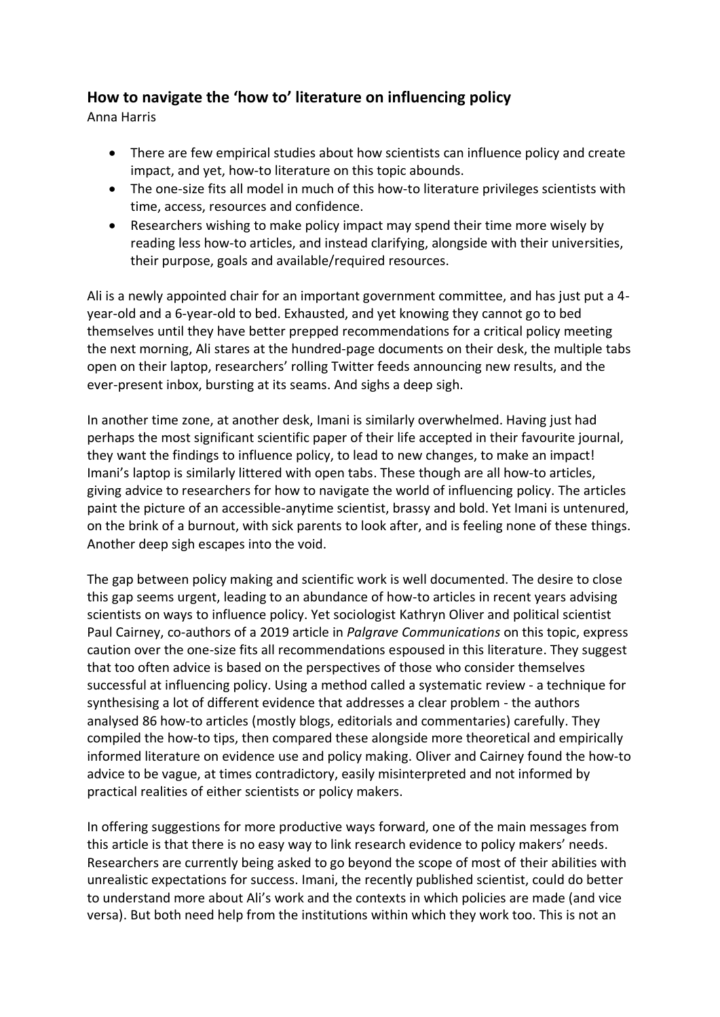## **How to navigate the 'how to' literature on influencing policy**

Anna Harris

- There are few empirical studies about how scientists can influence policy and create impact, and yet, how-to literature on this topic abounds.
- The one-size fits all model in much of this how-to literature privileges scientists with time, access, resources and confidence.
- Researchers wishing to make policy impact may spend their time more wisely by reading less how-to articles, and instead clarifying, alongside with their universities, their purpose, goals and available/required resources.

Ali is a newly appointed chair for an important government committee, and has just put a 4 year-old and a 6-year-old to bed. Exhausted, and yet knowing they cannot go to bed themselves until they have better prepped recommendations for a critical policy meeting the next morning, Ali stares at the hundred-page documents on their desk, the multiple tabs open on their laptop, researchers' rolling Twitter feeds announcing new results, and the ever-present inbox, bursting at its seams. And sighs a deep sigh.

In another time zone, at another desk, Imani is similarly overwhelmed. Having just had perhaps the most significant scientific paper of their life accepted in their favourite journal, they want the findings to influence policy, to lead to new changes, to make an impact! Imani's laptop is similarly littered with open tabs. These though are all how-to articles, giving advice to researchers for how to navigate the world of influencing policy. The articles paint the picture of an accessible-anytime scientist, brassy and bold. Yet Imani is untenured, on the brink of a burnout, with sick parents to look after, and is feeling none of these things. Another deep sigh escapes into the void.

The gap between policy making and scientific work is well documented. The desire to close this gap seems urgent, leading to an abundance of how-to articles in recent years advising scientists on ways to influence policy. Yet sociologist Kathryn Oliver and political scientist Paul Cairney, co-authors of a 2019 article in *Palgrave Communications* on this topic, express caution over the one-size fits all recommendations espoused in this literature. They suggest that too often advice is based on the perspectives of those who consider themselves successful at influencing policy. Using a method called a systematic review - a technique for synthesising a lot of different evidence that addresses a clear problem - the authors analysed 86 how-to articles (mostly blogs, editorials and commentaries) carefully. They compiled the how-to tips, then compared these alongside more theoretical and empirically informed literature on evidence use and policy making. Oliver and Cairney found the how-to advice to be vague, at times contradictory, easily misinterpreted and not informed by practical realities of either scientists or policy makers.

In offering suggestions for more productive ways forward, one of the main messages from this article is that there is no easy way to link research evidence to policy makers' needs. Researchers are currently being asked to go beyond the scope of most of their abilities with unrealistic expectations for success. Imani, the recently published scientist, could do better to understand more about Ali's work and the contexts in which policies are made (and vice versa). But both need help from the institutions within which they work too. This is not an